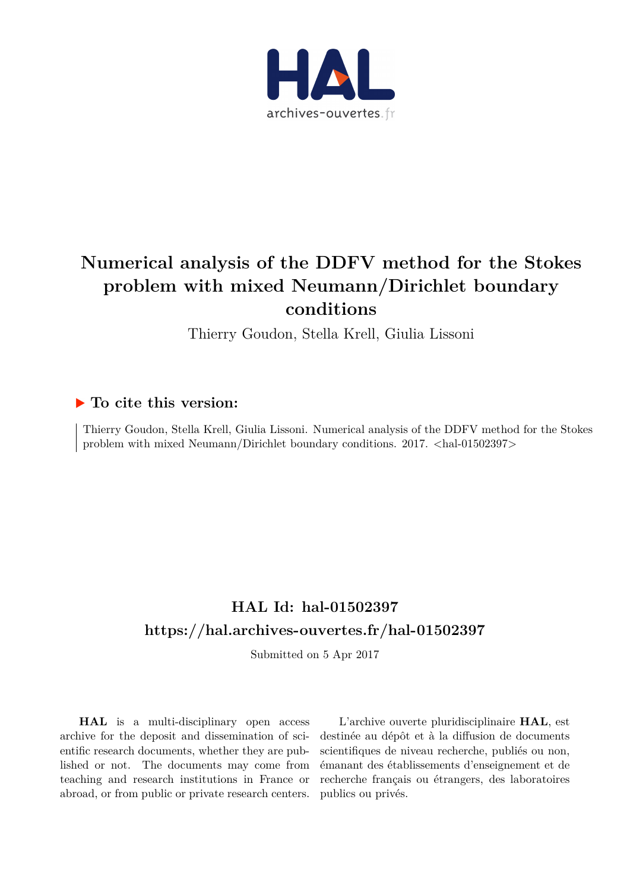

# **Numerical analysis of the DDFV method for the Stokes problem with mixed Neumann/Dirichlet boundary conditions**

Thierry Goudon, Stella Krell, Giulia Lissoni

### **To cite this version:**

Thierry Goudon, Stella Krell, Giulia Lissoni. Numerical analysis of the DDFV method for the Stokes problem with mixed Neumann/Dirichlet boundary conditions. 2017. <hal-01502397>

## **HAL Id: hal-01502397 <https://hal.archives-ouvertes.fr/hal-01502397>**

Submitted on 5 Apr 2017

**HAL** is a multi-disciplinary open access archive for the deposit and dissemination of scientific research documents, whether they are published or not. The documents may come from teaching and research institutions in France or abroad, or from public or private research centers.

L'archive ouverte pluridisciplinaire **HAL**, est destinée au dépôt et à la diffusion de documents scientifiques de niveau recherche, publiés ou non, émanant des établissements d'enseignement et de recherche français ou étrangers, des laboratoires publics ou privés.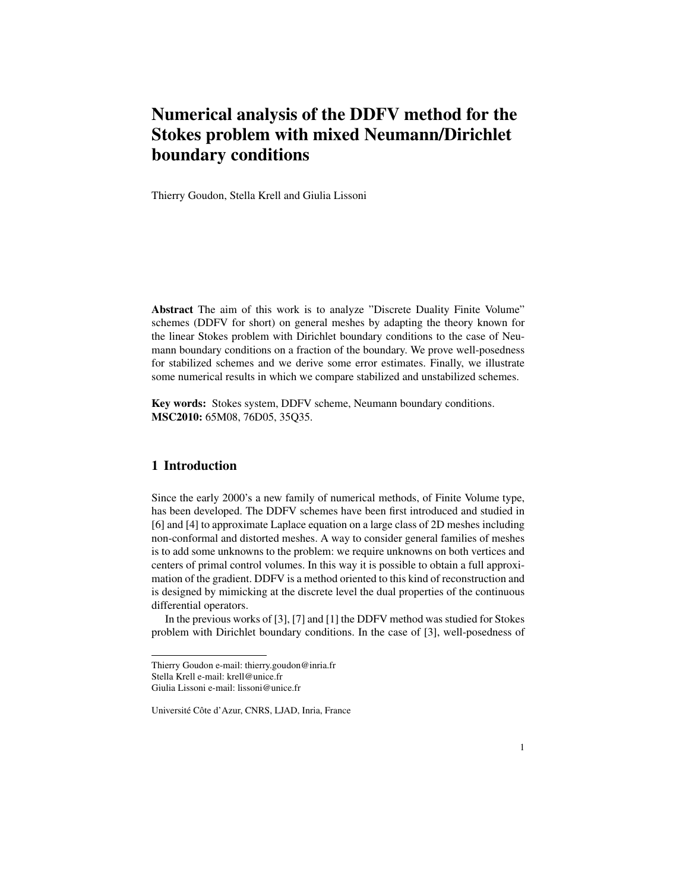## Numerical analysis of the DDFV method for the Stokes problem with mixed Neumann/Dirichlet boundary conditions

Thierry Goudon, Stella Krell and Giulia Lissoni

Abstract The aim of this work is to analyze "Discrete Duality Finite Volume" schemes (DDFV for short) on general meshes by adapting the theory known for the linear Stokes problem with Dirichlet boundary conditions to the case of Neumann boundary conditions on a fraction of the boundary. We prove well-posedness for stabilized schemes and we derive some error estimates. Finally, we illustrate some numerical results in which we compare stabilized and unstabilized schemes.

Key words: Stokes system, DDFV scheme, Neumann boundary conditions. MSC2010: 65M08, 76D05, 35Q35.

#### 1 Introduction

Since the early 2000's a new family of numerical methods, of Finite Volume type, has been developed. The DDFV schemes have been first introduced and studied in [6] and [4] to approximate Laplace equation on a large class of 2D meshes including non-conformal and distorted meshes. A way to consider general families of meshes is to add some unknowns to the problem: we require unknowns on both vertices and centers of primal control volumes. In this way it is possible to obtain a full approximation of the gradient. DDFV is a method oriented to this kind of reconstruction and is designed by mimicking at the discrete level the dual properties of the continuous differential operators.

In the previous works of [3], [7] and [1] the DDFV method was studied for Stokes problem with Dirichlet boundary conditions. In the case of [3], well-posedness of

Thierry Goudon e-mail: thierry.goudon@inria.fr

Stella Krell e-mail: krell@unice.fr Giulia Lissoni e-mail: lissoni@unice.fr

Université Côte d'Azur, CNRS, LJAD, Inria, France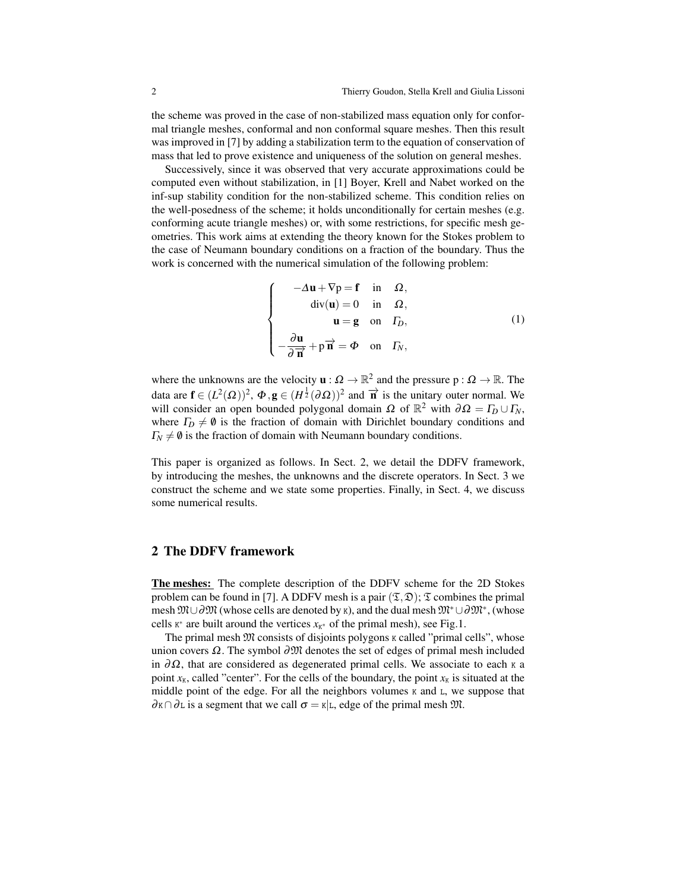the scheme was proved in the case of non-stabilized mass equation only for conformal triangle meshes, conformal and non conformal square meshes. Then this result was improved in [7] by adding a stabilization term to the equation of conservation of mass that led to prove existence and uniqueness of the solution on general meshes.

Successively, since it was observed that very accurate approximations could be computed even without stabilization, in [1] Boyer, Krell and Nabet worked on the inf-sup stability condition for the non-stabilized scheme. This condition relies on the well-posedness of the scheme; it holds unconditionally for certain meshes (e.g. conforming acute triangle meshes) or, with some restrictions, for specific mesh geometries. This work aims at extending the theory known for the Stokes problem to the case of Neumann boundary conditions on a fraction of the boundary. Thus the work is concerned with the numerical simulation of the following problem:

$$
\begin{cases}\n-\Delta \mathbf{u} + \nabla \mathbf{p} = \mathbf{f} & \text{in } \Omega, \\
\text{div}(\mathbf{u}) = 0 & \text{in } \Omega, \\
\mathbf{u} = \mathbf{g} & \text{on } \Gamma_D, \\
-\frac{\partial \mathbf{u}}{\partial \overrightarrow{\mathbf{n}}} + \mathbf{p} \overrightarrow{\mathbf{n}} = \Phi & \text{on } \Gamma_N,\n\end{cases}
$$
\n(1)

where the unknowns are the velocity  $\mathbf{u} : \Omega \to \mathbb{R}^2$  and the pressure  $p : \Omega \to \mathbb{R}$ . The data are  $\mathbf{f} \in (L^2(\Omega))^2$ ,  $\Phi$ ,  $\mathbf{g} \in (H^{\frac{1}{2}}(\partial \Omega))^2$  and  $\overrightarrow{\mathbf{n}}$  is the unitary outer normal. We will consider an open bounded polygonal domain  $\Omega$  of  $\mathbb{R}^2$  with  $\partial \Omega = \Gamma_D \cup \Gamma_N$ , where  $\Gamma_D \neq \emptyset$  is the fraction of domain with Dirichlet boundary conditions and  $\Gamma_N \neq \emptyset$  is the fraction of domain with Neumann boundary conditions.

This paper is organized as follows. In Sect. 2, we detail the DDFV framework, by introducing the meshes, the unknowns and the discrete operators. In Sect. 3 we construct the scheme and we state some properties. Finally, in Sect. 4, we discuss some numerical results.

#### 2 The DDFV framework

The meshes: The complete description of the DDFV scheme for the 2D Stokes problem can be found in [7]. A DDFV mesh is a pair  $(\mathfrak{T}, \mathfrak{D})$ ;  $\mathfrak{T}$  combines the primal mesh  $\mathfrak{M}\cup\partial\mathfrak{M}$  (whose cells are denoted by K), and the dual mesh  $\mathfrak{M}^*\cup\partial\mathfrak{M}^*$ , (whose cells  $K^*$  are built around the vertices  $x_{K^*}$  of the primal mesh), see Fig.1.

The primal mesh  $\mathfrak M$  consists of disjoints polygons  $\kappa$  called "primal cells", whose union covers  $\Omega$ . The symbol  $\partial \mathfrak{M}$  denotes the set of edges of primal mesh included in  $\partial\Omega$ , that are considered as degenerated primal cells. We associate to each K a point  $x_K$ , called "center". For the cells of the boundary, the point  $x_K$  is situated at the middle point of the edge. For all the neighbors volumes  $K$  and  $L$ , we suppose that  $\partial K \cap \partial L$  is a segment that we call  $\sigma = K|L$ , edge of the primal mesh  $\mathfrak{M}$ .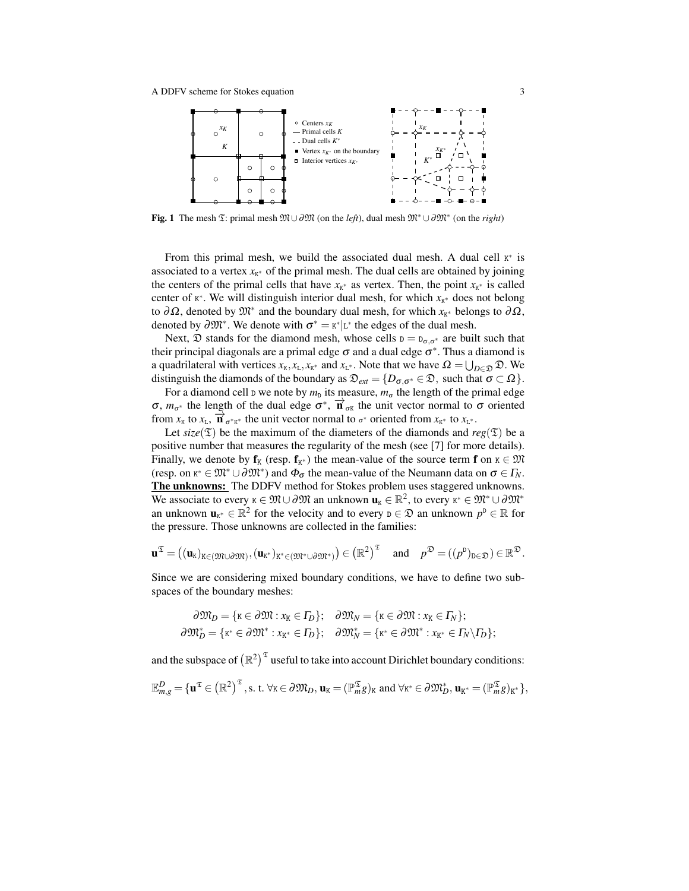

Fig. 1 The mesh T: primal mesh M∪∂M (on the *left*), dual mesh M<sup>∗</sup> ∪∂M<sup>∗</sup> (on the *right*)

From this primal mesh, we build the associated dual mesh. A dual cell  $K^*$  is associated to a vertex  $x_{K^*}$  of the primal mesh. The dual cells are obtained by joining the centers of the primal cells that have  $x_{K^*}$  as vertex. Then, the point  $x_{K^*}$  is called center of  $K^*$ . We will distinguish interior dual mesh, for which  $x_{K^*}$  does not belong to  $\partial\Omega$ , denoted by  $\mathfrak{M}^*$  and the boundary dual mesh, for which  $x_{K^*}$  belongs to  $\partial\Omega$ , denoted by  $\partial \mathfrak{M}^*$ . We denote with  $\sigma^* = \kappa^* | L^*$  the edges of the dual mesh.

Next,  $\mathfrak D$  stands for the diamond mesh, whose cells  $D = D_{\sigma,\sigma^*}$  are built such that their principal diagonals are a primal edge  $\sigma$  and a dual edge  $\sigma^*$ . Thus a diamond is a quadrilateral with vertices  $x_k, x_L, x_{K^*}$  and  $x_{L^*}$ . Note that we have  $\Omega = \bigcup_{D \in \mathcal{D}} \mathcal{D}$ . We distinguish the diamonds of the boundary as  $\mathfrak{D}_{ext} = \{D_{\sigma, \sigma^*} \in \mathfrak{D}, \text{ such that } \sigma \subset \Omega\}.$ 

For a diamond cell  $D$  we note by  $m_D$  its measure,  $m_{\sigma}$  the length of the primal edge σ,  $m_{\sigma^*}$  the length of the dual edge  $\sigma^*$ ,  $\vec{n}_{\sigma^k}$  the unit vector normal to  $\sigma$  oriented from  $x_K$  to  $x_L$ ,  $\overrightarrow{\bf n}_{\sigma^*K^*}$  the unit vector normal to  $\sigma^*$  oriented from  $x_{K^*}$  to  $x_{L^*}$ .

Let  $size(\mathfrak{T})$  be the maximum of the diameters of the diamonds and  $reg(\mathfrak{T})$  be a positive number that measures the regularity of the mesh (see [7] for more details). Finally, we denote by  $f_K$  (resp.  $f_{K^*}$ ) the mean-value of the source term  $f$  on  $K \in \mathfrak{M}$ (resp. on  $\kappa^* \in \mathfrak{M}^* \cup \partial \mathfrak{M}^*$ ) and  $\Phi_{\sigma}$  the mean-value of the Neumann data on  $\sigma \in \Gamma_N$ . The unknowns: The DDFV method for Stokes problem uses staggered unknowns. We associate to every  $\kappa \in \mathfrak{M} \cup \partial \mathfrak{M}$  an unknown  $\mathbf{u}_k \in \mathbb{R}^2$ , to every  $\kappa^* \in \mathfrak{M}^* \cup \partial \mathfrak{M}^*$ an unknown  $\mathbf{u}_{K^*} \in \mathbb{R}^2$  for the velocity and to every  $p \in \mathcal{D}$  an unknown  $p^p \in \mathbb{R}$  for the pressure. Those unknowns are collected in the families:

$$
\mathbf{u}^{\mathfrak{T}} = ((\mathbf{u}_{K})_{K \in (\mathfrak{M} \cup \partial \mathfrak{M})}, (\mathbf{u}_{K^{*}})_{K^{*} \in (\mathfrak{M}^{*} \cup \partial \mathfrak{M}^{*})}) \in (\mathbb{R}^{2})^{\mathfrak{T}} \quad \text{ and } \quad p^{\mathfrak{D}} = ((p^{D})_{D \in \mathfrak{D}}) \in \mathbb{R}^{\mathfrak{D}}.
$$

Since we are considering mixed boundary conditions, we have to define two subspaces of the boundary meshes:

$$
\partial \mathfrak{M}_D = \{ \kappa \in \partial \mathfrak{M} : x_K \in \Gamma_D \}; \quad \partial \mathfrak{M}_N = \{ \kappa \in \partial \mathfrak{M} : x_K \in \Gamma_N \};
$$
  

$$
\partial \mathfrak{M}_D^* = \{ \kappa^* \in \partial \mathfrak{M}^* : x_{K^*} \in \Gamma_D \}; \quad \partial \mathfrak{M}_N^* = \{ \kappa^* \in \partial \mathfrak{M}^* : x_{K^*} \in \Gamma_N \backslash \Gamma_D \};
$$

and the subspace of  $(\mathbb{R}^2)^{\mathfrak{T}}$  useful to take into account Dirichlet boundary conditions:

$$
\mathbb{E}^D_{m,g}=\{\boldsymbol{u}^{\mathfrak{T}}\in\big(\mathbb{R}^2\big)^{\mathfrak{T}},\text{s. t. }\forall\kappa\in\partial\mathfrak{M}_D,\boldsymbol{u}_K=(\mathbb{P}^{\mathfrak{T}}_{m}g)_K\text{ and }\forall\kappa^*\in\partial\mathfrak{M}_D^*,\boldsymbol{u}_{K^*}=(\mathbb{P}^{\mathfrak{T}}_{m}g)_{K^*}\},
$$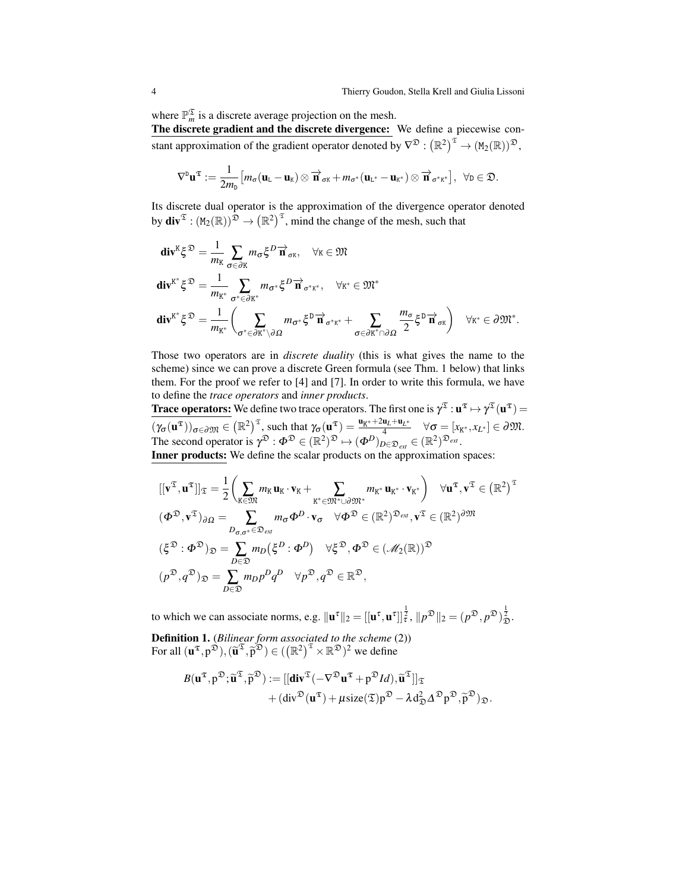where  $\mathbb{P}_{m}^{\mathfrak{T}}$  is a discrete average projection on the mesh.

The discrete gradient and the discrete divergence: We define a piecewise constant approximation of the gradient operator denoted by  $\nabla^{\mathfrak{D}} : (\mathbb{R}^2)^{\mathfrak{T}} \to (\text{M}_2(\mathbb{R}))^{\mathfrak{D}},$ 

$$
\nabla^{\mathbf{D}} \mathbf{u}^{\mathfrak{T}} := \frac{1}{2m_{\mathbf{D}}} \big[ m_{\sigma} (\mathbf{u}_{\mathbf{L}} - \mathbf{u}_{\mathbf{K}}) \otimes \overrightarrow{\mathbf{n}}_{\sigma\mathbf{K}} + m_{\sigma^*} (\mathbf{u}_{\mathbf{L}^*} - \mathbf{u}_{\mathbf{K}^*}) \otimes \overrightarrow{\mathbf{n}}_{\sigma^* \mathbf{K}^*} \big], \ \forall \mathbf{D} \in \mathfrak{D}.
$$

Its discrete dual operator is the approximation of the divergence operator denoted by  $div^{\mathfrak{T}} : (M_2(\mathbb{R}))^{\mathfrak{D}} \to (\mathbb{R}^2)^{\mathfrak{T}}$ , mind the change of the mesh, such that

$$
\begin{split}\n\mathbf{div}^{K}\xi^{\mathfrak{D}} &= \frac{1}{m_{K}}\sum_{\sigma\in\partial K}m_{\sigma}\xi^{D}\overrightarrow{\mathbf{n}}_{\sigma K}, \quad \forall K\in\mathfrak{M} \\
\mathbf{div}^{K^{*}}\xi^{\mathfrak{D}} &= \frac{1}{m_{K^{*}}}\sum_{\sigma^{*}\in\partial K^{*}}m_{\sigma^{*}}\xi^{D}\overrightarrow{\mathbf{n}}_{\sigma^{*}K^{*}}, \quad \forall K^{*}\in\mathfrak{M}^{*} \\
\mathbf{div}^{K^{*}}\xi^{\mathfrak{D}} &= \frac{1}{m_{K^{*}}}\left(\sum_{\sigma^{*}\in\partial K^{*}\setminus\partial\Omega}m_{\sigma^{*}}\xi^{D}\overrightarrow{\mathbf{n}}_{\sigma^{*}K^{*}} + \sum_{\sigma\in\partial K^{*}\cap\partial\Omega}\frac{m_{\sigma}}{2}\xi^{D}\overrightarrow{\mathbf{n}}_{\sigma K}\right) \quad \forall K^{*}\in\partial\mathfrak{M}^{*}.\n\end{split}
$$

Those two operators are in *discrete duality* (this is what gives the name to the scheme) since we can prove a discrete Green formula (see Thm. 1 below) that links them. For the proof we refer to [4] and [7]. In order to write this formula, we have to define the *trace operators* and *inner products*.

**Trace operators:** We define two trace operators. The first one is  $\gamma^{\mathfrak{T}}: \mathbf{u}^{\mathfrak{T}} \mapsto \gamma^{\mathfrak{T}}(\mathbf{u}^{\mathfrak{T}})$  =  $(\gamma_{\sigma}(\mathbf{u}^{\mathfrak{T}}))_{\sigma \in \partial \mathfrak{M}} \in (\mathbb{R}^2)^{\mathfrak{T}}$ , such that  $\gamma_{\sigma}(\mathbf{u}^{\mathfrak{T}}) = \frac{\mathbf{u}_{K^*} + 2\mathbf{u}_L + \mathbf{u}_L}{4}$  $\overline{A_4^{H_+ + \mathbf{u}_{L^*}}}$   $\forall \sigma = [x_{K^*}, x_{L^*}] \in \partial \mathfrak{M}.$ The second operator is  $\gamma^{\mathfrak{D}} : \Phi^{\mathfrak{D}} \in (\mathbb{R}^2)^{\mathfrak{D}} \mapsto (\Phi^D)_{D \in \mathfrak{D}_{ext}} \in (\mathbb{R}^2)^{\mathfrak{D}_{ext}}$ . Inner products: We define the scalar products on the approximation spaces:

$$
\begin{split}\n\left[ [\mathbf{v}^{\mathfrak{T}}, \mathbf{u}^{\mathfrak{T}}] \right]_{\mathfrak{T}} &= \frac{1}{2} \left( \sum_{K \in \mathfrak{M}} m_{K} \mathbf{u}_{K} \cdot \mathbf{v}_{K} + \sum_{K^{*} \in \mathfrak{M}^{*} \cup \partial \mathfrak{M}^{*}} m_{K^{*}} \mathbf{u}_{K^{*}} \cdot \mathbf{v}_{K^{*}} \right) \quad \forall \mathbf{u}^{\mathfrak{T}}, \mathbf{v}^{\mathfrak{T}} \in \left( \mathbb{R}^{2} \right)^{\mathfrak{T}} \\
(\Phi^{\mathfrak{D}}, \mathbf{v}^{\mathfrak{T}})_{\partial \Omega} &= \sum_{D_{\sigma}, \sigma^{*} \in \mathfrak{D}_{ext}} m_{\sigma} \Phi^{D} \cdot \mathbf{v}_{\sigma} \quad \forall \Phi^{\mathfrak{D}} \in (\mathbb{R}^{2})^{\mathfrak{D}_{ext}}, \mathbf{v}^{\mathfrak{T}} \in (\mathbb{R}^{2})^{\partial \mathfrak{M}} \\
(\xi^{\mathfrak{D}} : \Phi^{\mathfrak{D}})_{\mathfrak{D}} &= \sum_{D \in \mathfrak{D}} m_{D} (\xi^{D} : \Phi^{D}) \quad \forall \xi^{\mathfrak{D}}, \Phi^{\mathfrak{D}} \in (\mathcal{M}_{2}(\mathbb{R}))^{\mathfrak{D}} \\
(p^{\mathfrak{D}}, q^{\mathfrak{D}})_{\mathfrak{D}} &= \sum_{D \in \mathfrak{D}} m_{D} p^{D} q^{D} \quad \forall p^{\mathfrak{D}}, q^{\mathfrak{D}} \in \mathbb{R}^{\mathfrak{D}},\n\end{split}
$$

to which we can associate norms, e.g.  $\|\mathbf{u}^\tau\|_2 = [\left[\mathbf{u}^\tau, \mathbf{u}^\tau\right]]_2^{\frac{1}{2}}$ ,  $\|p^{\mathfrak{D}}\|_2 = (p^{\mathfrak{D}}, p^{\mathfrak{D}})_\mathfrak{D}^{\frac{1}{2}}$ .

Definition 1. (*Bilinear form associated to the scheme* (2)) For all  $(\mathbf{u}^{\mathfrak{T}}, p^{\mathfrak{D}}), (\widetilde{\mathbf{u}}^{\mathfrak{T}}, \widetilde{p}^{\mathfrak{D}}) \in ((\mathbb{R}^2)^{\mathfrak{T}} \times \mathbb{R}^{\mathfrak{D}})^2$  we define

$$
B(\mathbf{u}^{\mathfrak{T}},p^{\mathfrak{D}};\widetilde{\mathbf{u}}^{\mathfrak{T}},\widetilde{p}^{\mathfrak{D}}):=[[\mathbf{div}^{\mathfrak{T}}(-\nabla^{\mathfrak{D}}\mathbf{u}^{\mathfrak{T}}+p^{\mathfrak{D}}Id),\widetilde{\mathbf{u}}^{\mathfrak{T}}]]_{\mathfrak{T}}+(\mathbf{div}^{\mathfrak{D}}(\mathbf{u}^{\mathfrak{T}})+\mu \mathrm{size}(\mathfrak{T})p^{\mathfrak{D}}-\lambda d_{\mathfrak{D}}^2\Delta^{\mathfrak{D}}p^{\mathfrak{D}},\widetilde{p}^{\mathfrak{D}})_{\mathfrak{D}}.
$$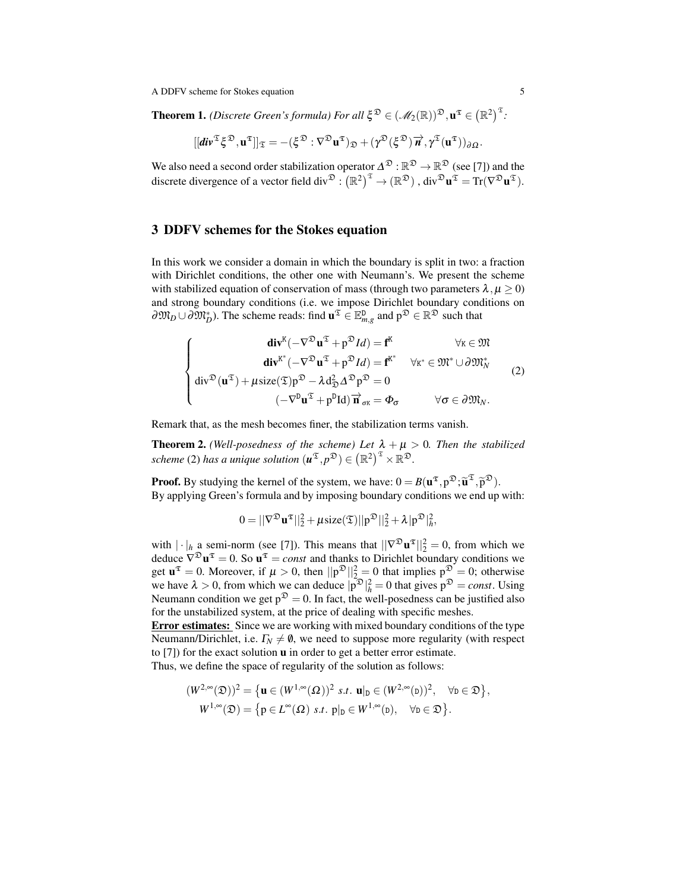A DDFV scheme for Stokes equation 5

**Theorem 1.** *(Discrete Green's formula) For all*  $\xi^{\mathfrak{D}} \in (\mathcal{M}_2(\mathbb{R}))^{\mathfrak{D}}, \mathbf{u}^{\mathfrak{T}} \in (\mathbb{R}^2)^{\mathfrak{T}}$ .

$$
[[div^{\mathfrak{T}} \xi^{\mathfrak{D}}, u^{\mathfrak{T}}]]_{\mathfrak{T}}=-(\xi^{\mathfrak{D}}:\nabla^{\mathfrak{D}} u^{\mathfrak{T}})_{\mathfrak{D}}+(\gamma^{\mathfrak{D}}(\xi^{\mathfrak{D}})\overrightarrow{n}, \gamma^{\mathfrak{T}}(u^{\mathfrak{T}}))_{\partial \Omega}.
$$

We also need a second order stabilization operator  $\Delta^{\mathfrak{D}} : \mathbb{R}^{\mathfrak{D}} \to \mathbb{R}^{\mathfrak{D}}$  (see [7]) and the discrete divergence of a vector field div $\mathfrak{D}: (\mathbb{R}^2)^{\mathfrak{T}} \to (\mathbb{R}^{\mathfrak{D}})$  , div $\mathfrak{D} \mathbf{u}^{\mathfrak{T}} = \text{Tr}(\nabla^{\mathfrak{D}} \mathbf{u}^{\mathfrak{T}})$ .

#### 3 DDFV schemes for the Stokes equation

In this work we consider a domain in which the boundary is split in two: a fraction with Dirichlet conditions, the other one with Neumann's. We present the scheme with stabilized equation of conservation of mass (through two parameters  $\lambda, \mu \ge 0$ ) and strong boundary conditions (i.e. we impose Dirichlet boundary conditions on  $\partial \mathfrak{M}_D \cup \partial \mathfrak{M}_D^*$ ). The scheme reads: find  $\mathbf{u}^{\mathfrak{T}} \in \mathbb{E}^{\mathsf{D}}_{m,g}$  and  $\mathsf{p}^{\mathfrak{D}} \in \mathbb{R}^{\mathfrak{D}}$  such that

$$
\begin{cases}\n\operatorname{div}^{K}(-\nabla^{\mathfrak{D}}\mathbf{u}^{\mathfrak{T}}+p^{\mathfrak{D}}Id)=\mathbf{f}^{K} & \forall K \in \mathfrak{M} \\
\operatorname{div}^{K^{*}}(-\nabla^{\mathfrak{D}}\mathbf{u}^{\mathfrak{T}}+p^{\mathfrak{D}}Id)=\mathbf{f}^{K^{*}} & \forall K^{*} \in \mathfrak{M}^{*} \cup \partial \mathfrak{M}_{N}^{*} \\
\operatorname{div}^{D}(\mathbf{u}^{\mathfrak{T}})+\mu \operatorname{size}(\mathfrak{T})p^{\mathfrak{D}}-\lambda \mathrm{d}_{\mathfrak{D}}^{2} \Delta^{\mathfrak{D}}p^{\mathfrak{D}}=0 \\
(-\nabla^{D}\mathbf{u}^{\mathfrak{T}}+p^{D}Id)\overrightarrow{\mathbf{n}}_{\sigma K}=\Phi_{\sigma} & \forall \sigma \in \partial \mathfrak{M}_{N}.\n\end{cases}
$$
\n(2)

Remark that, as the mesh becomes finer, the stabilization terms vanish.

**Theorem 2.** *(Well-posedness of the scheme) Let*  $\lambda + \mu > 0$ *. Then the stabilized scheme* (2) has a unique solution  $(u^{\mathfrak{T}}, p^{\mathfrak{D}}) \in (\mathbb{R}^2)^{\mathfrak{T}} \times \mathbb{R}^{\mathfrak{D}}$ .

**Proof.** By studying the kernel of the system, we have:  $0 = B(u^{\mathfrak{T}}, p^{\mathfrak{D}}; \tilde{u}^{\mathfrak{T}}, \tilde{p}^{\mathfrak{D}})$ .<br>By applying Green's formula and by imposing boundary conditions we end up. By applying Green's formula and by imposing boundary conditions we end up with:

$$
0 = ||\nabla^\mathfrak{D} \boldsymbol{u}^\mathfrak{T}||_2^2 + \mu \text{size}(\mathfrak{T}) ||p^\mathfrak{D}||_2^2 + \lambda |p^\mathfrak{D}|_h^2,
$$

with  $|\cdot|_h$  a semi-norm (see [7]). This means that  $||\nabla^{\mathfrak{D}} \mathbf{u}^{\mathfrak{T}}||_2^2 = 0$ , from which we deduce  $\nabla^{\mathfrak{D}} \mathbf{u}^{\mathfrak{T}} = 0$ . So  $\mathbf{u}^{\mathfrak{T}} = const$  and thanks to Dirichlet boundary conditions we get  $\mathbf{u}^{\mathfrak{T}} = 0$ . Moreover, if  $\mu > 0$ , then  $\|\mathbf{p}^{\mathfrak{D}}\|_{2}^{2} = 0$  that implies  $\mathbf{p}^{\mathfrak{D}} = 0$ ; otherwise we have  $\lambda > 0$ , from which we can deduce  $|\overline{p}^{\mathfrak{D}}|_{h}^{2} = 0$  that gives  $p^{\mathfrak{D}} = const.$  Using Neumann condition we get  $p^{\mathfrak{D}} = 0$ . In fact, the well-posedness can be justified also for the unstabilized system, at the price of dealing with specific meshes.

**Error estimates:** Since we are working with mixed boundary conditions of the type Neumann/Dirichlet, i.e.  $\Gamma_N \neq \emptyset$ , we need to suppose more regularity (with respect to [7]) for the exact solution u in order to get a better error estimate. Thus, we define the space of regularity of the solution as follows:

$$
(w^{2}\infty(a))^{2} \quad \left(1 - (w^{2}\infty(a))^{2} \quad \cdots \quad 1 - (w^{2}\infty(a))^{2} \quad \cdots \right)
$$

$$
(W^{2,\infty}(\mathfrak{D}))^2 = \{ \mathbf{u} \in (W^{1,\infty}(\Omega))^2 \text{ s.t. } \mathbf{u}|_{\mathbf{D}} \in (W^{2,\infty}(\mathbf{D}))^2, \forall \mathbf{D} \in \mathfrak{D} \},
$$
  

$$
W^{1,\infty}(\mathfrak{D}) = \{ \mathbf{p} \in L^{\infty}(\Omega) \text{ s.t. } \mathbf{p}|_{\mathbf{D}} \in W^{1,\infty}(\mathbf{D}), \forall \mathbf{D} \in \mathfrak{D} \}.
$$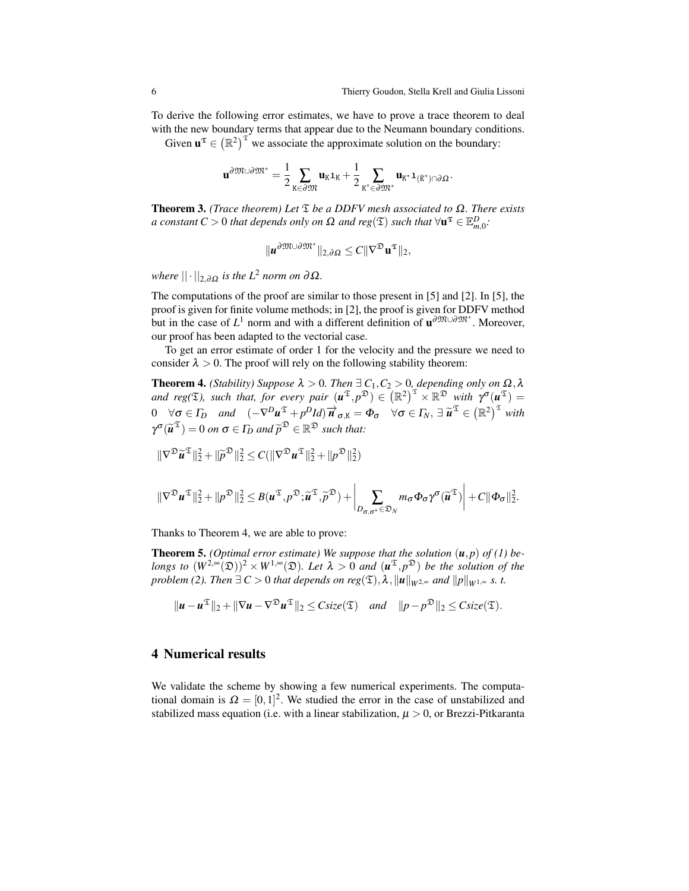To derive the following error estimates, we have to prove a trace theorem to deal with the new boundary terms that appear due to the Neumann boundary conditions.

Given  $\mathbf{u}^{\mathfrak{T}} \in (\mathbb{R}^2)^{\mathfrak{T}}$  we associate the approximate solution on the boundary:

$$
\mathbf{u}^{\partial \mathfrak{M} \cup \partial \mathfrak{M}^*} = \frac{1}{2} \sum_{K \in \partial \mathfrak{M}} \mathbf{u}_K \mathbf{1}_K + \frac{1}{2} \sum_{K^* \in \partial \mathfrak{M}^*} \mathbf{u}_{K^*} \mathbf{1}_{(\bar{K}^*) \cap \partial \Omega}.
$$

Theorem 3. *(Trace theorem) Let* T *be a DDFV mesh associated to* Ω*. There exists*  $a$  constant  $C > 0$  that depends only on  $\Omega$  and reg( $\mathfrak{T})$  such that  $\forall \mathbf{u}^{\mathfrak{T}} \in \mathbb{E}^D_{m,0}$ .

$$
\| \mathbf{u}^{\partial \mathfrak{M} \cup \partial \mathfrak{M}^*} \|_{2,\partial \Omega} \leq C \| \nabla^{\mathfrak{D}} \mathbf{u}^{\mathfrak{T}} \|_2,
$$

*where*  $|| \cdot ||_{2, \partial \Omega}$  *is the*  $L^2$  *norm on*  $\partial \Omega$ *.* 

The computations of the proof are similar to those present in [5] and [2]. In [5], the proof is given for finite volume methods; in [2], the proof is given for DDFV method but in the case of  $L^1$  norm and with a different definition of  $\mathbf{u}^{\partial \mathfrak{M} \cup \partial \mathfrak{M}^*}$ . Moreover, our proof has been adapted to the vectorial case.

To get an error estimate of order 1 for the velocity and the pressure we need to consider  $\lambda > 0$ . The proof will rely on the following stability theorem:

**Theorem 4.** *(Stability) Suppose*  $\lambda > 0$ *. Then*  $\exists C_1, C_2 > 0$ *, depending only on*  $\Omega$ *,*  $\lambda$ *and reg(* $\mathfrak{T}$ ), such that, for every pair  $(u^{\mathfrak{T}}, p^{\mathfrak{D}}) \in (\mathbb{R}^2)^{\mathfrak{T}} \times \mathbb{R}^{\mathfrak{D}}$  with  $\gamma^{\sigma}(u^{\mathfrak{T}}) =$  $0 \quad \forall \sigma \in \Gamma_D \quad and \quad (-\nabla^D u^{\mathfrak{T}} + p^D Id) \overrightarrow{n}_{\sigma,K} = \Phi_{\sigma} \quad \forall \sigma \in \Gamma_N, \exists \overrightarrow{u}^{\mathfrak{T}} \in (\mathbb{R}^2)^{\mathfrak{T}} \text{ with }$  $\gamma^{\sigma}(\widetilde{\boldsymbol{u}}^{\mathfrak{T}}) = 0$  *on*  $\sigma \in \Gamma_D$  *and*  $\widetilde{p}^{\mathfrak{D}} \in \mathbb{R}^{\mathfrak{D}}$  *such that:* 

$$
\|\nabla^{\mathfrak{D}} \widetilde{\mathbf{u}}^{\mathfrak{T}}\|_{2}^{2} + \|\widetilde{p}^{\mathfrak{D}}\|_{2}^{2} \leq C(\|\nabla^{\mathfrak{D}} \mathbf{u}^{\mathfrak{T}}\|_{2}^{2} + \|p^{\mathfrak{D}}\|_{2}^{2})
$$

$$
\|\nabla^{\mathfrak{D}} u^{\mathfrak{T}}\|_{2}^{2} + \|p^{\mathfrak{D}}\|_{2}^{2} \leq B(u^{\mathfrak{T}}, p^{\mathfrak{D}}; \widetilde{u}^{\mathfrak{T}}, \widetilde{p}^{\mathfrak{D}}) + \bigg|_{D_{\sigma}, \sigma^{*}} \in \mathfrak{D}_{N}} m_{\sigma} \Phi_{\sigma} \gamma^{\sigma}(\widetilde{u}^{\mathfrak{T}}) \bigg| + C \|\Phi_{\sigma}\|_{2}^{2}.
$$

Thanks to Theorem 4, we are able to prove:

**Theorem 5.** *(Optimal error estimate)* We suppose that the solution  $(u, p)$  of (1) be*longs to*  $(W^{2,\infty}(\mathfrak{D}))^2 \times W^{1,\infty}(\mathfrak{D})$ *. Let*  $\lambda > 0$  *and*  $(u^{\mathfrak{T}}, p^{\mathfrak{D}})$  *be the solution of the problem (2). Then*  $\exists C > 0$  *that depends on reg*( $\mathfrak{T}$ ),  $\lambda$ ,  $||u||_{W^{2,\infty}}$  *and*  $||p||_{W^{1,\infty}}$  *s. t.* 

$$
\|\mathbf{u}-\mathbf{u}^{\mathfrak{T}}\|_{2}+\|\nabla\mathbf{u}-\nabla^{\mathfrak{D}}\mathbf{u}^{\mathfrak{T}}\|_{2} \leq C size(\mathfrak{T}) \quad and \quad \|p-p^{\mathfrak{D}}\|_{2} \leq C size(\mathfrak{T}).
$$

#### 4 Numerical results

We validate the scheme by showing a few numerical experiments. The computational domain is  $\Omega = [0,1]^2$ . We studied the error in the case of unstabilized and stabilized mass equation (i.e. with a linear stabilization,  $\mu > 0$ , or Brezzi-Pitkaranta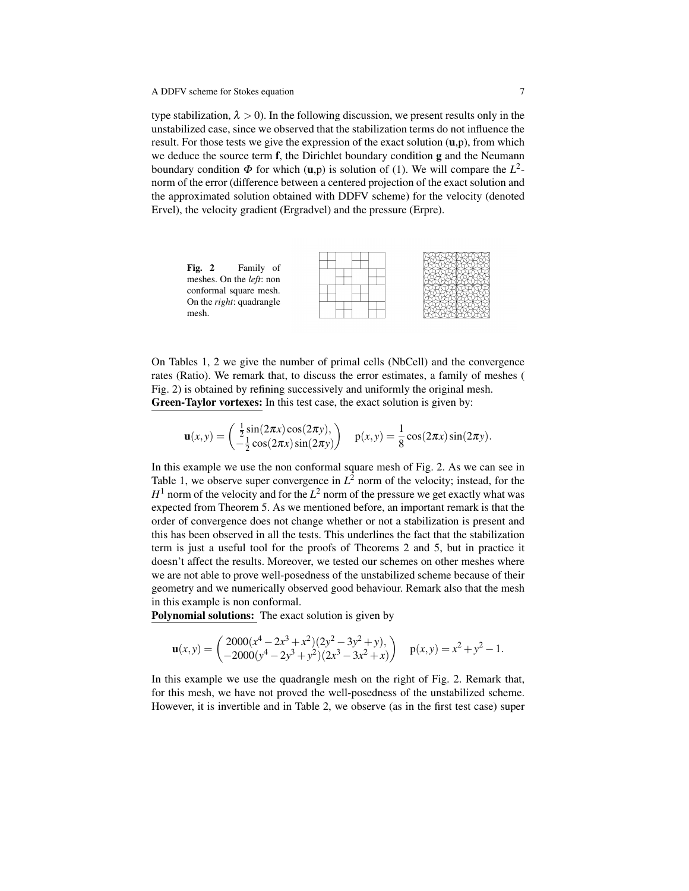type stabilization,  $\lambda > 0$ ). In the following discussion, we present results only in the unstabilized case, since we observed that the stabilization terms do not influence the result. For those tests we give the expression of the exact solution  $(u,p)$ , from which we deduce the source term  $f$ , the Dirichlet boundary condition  $g$  and the Neumann boundary condition  $\Phi$  for which (**u**,p) is solution of (1). We will compare the  $L^2$ norm of the error (difference between a centered projection of the exact solution and the approximated solution obtained with DDFV scheme) for the velocity (denoted Ervel), the velocity gradient (Ergradvel) and the pressure (Erpre).



On Tables 1, 2 we give the number of primal cells (NbCell) and the convergence rates (Ratio). We remark that, to discuss the error estimates, a family of meshes ( Fig. 2) is obtained by refining successively and uniformly the original mesh. Green-Taylor vortexes: In this test case, the exact solution is given by:

$$
\mathbf{u}(x,y) = \begin{pmatrix} \frac{1}{2}\sin(2\pi x)\cos(2\pi y), \\ -\frac{1}{2}\cos(2\pi x)\sin(2\pi y) \end{pmatrix} \quad \mathbf{p}(x,y) = \frac{1}{8}\cos(2\pi x)\sin(2\pi y).
$$

In this example we use the non conformal square mesh of Fig. 2. As we can see in Table 1, we observe super convergence in  $L^2$  norm of the velocity; instead, for the  $H^1$  norm of the velocity and for the  $L^2$  norm of the pressure we get exactly what was expected from Theorem 5. As we mentioned before, an important remark is that the order of convergence does not change whether or not a stabilization is present and this has been observed in all the tests. This underlines the fact that the stabilization term is just a useful tool for the proofs of Theorems 2 and 5, but in practice it doesn't affect the results. Moreover, we tested our schemes on other meshes where we are not able to prove well-posedness of the unstabilized scheme because of their geometry and we numerically observed good behaviour. Remark also that the mesh in this example is non conformal.

Polynomial solutions: The exact solution is given by

$$
\mathbf{u}(x,y) = \begin{pmatrix} 2000(x^4 - 2x^3 + x^2)(2y^2 - 3y^2 + y), \\ -2000(y^4 - 2y^3 + y^2)(2x^3 - 3x^2 + x) \end{pmatrix} \quad p(x,y) = x^2 + y^2 - 1.
$$

In this example we use the quadrangle mesh on the right of Fig. 2. Remark that, for this mesh, we have not proved the well-posedness of the unstabilized scheme. However, it is invertible and in Table 2, we observe (as in the first test case) super